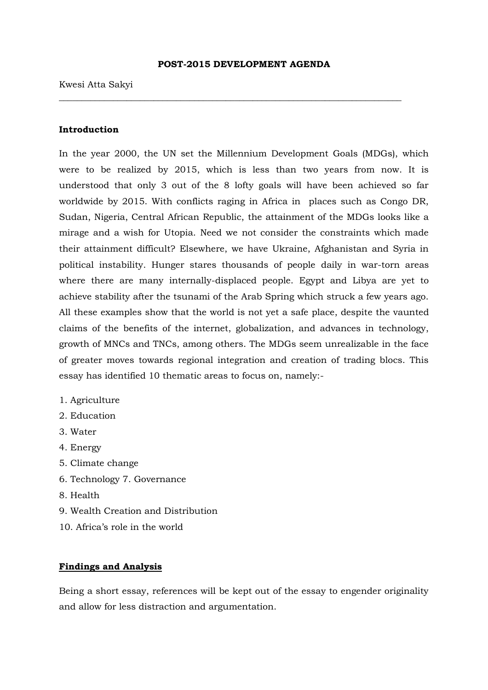#### **POST-2015 DEVELOPMENT AGENDA**

\_\_\_\_\_\_\_\_\_\_\_\_\_\_\_\_\_\_\_\_\_\_\_\_\_\_\_\_\_\_\_\_\_\_\_\_\_\_\_\_\_\_\_\_\_\_\_\_\_\_\_\_\_\_\_\_\_\_\_\_\_\_\_\_\_\_\_\_\_\_\_\_\_\_\_\_

#### Kwesi Atta Sakyi

## **Introduction**

In the year 2000, the UN set the Millennium Development Goals (MDGs), which were to be realized by 2015, which is less than two years from now. It is understood that only 3 out of the 8 lofty goals will have been achieved so far worldwide by 2015. With conflicts raging in Africa in places such as Congo DR, Sudan, Nigeria, Central African Republic, the attainment of the MDGs looks like a mirage and a wish for Utopia. Need we not consider the constraints which made their attainment difficult? Elsewhere, we have Ukraine, Afghanistan and Syria in political instability. Hunger stares thousands of people daily in war-torn areas where there are many internally-displaced people. Egypt and Libya are yet to achieve stability after the tsunami of the Arab Spring which struck a few years ago. All these examples show that the world is not yet a safe place, despite the vaunted claims of the benefits of the internet, globalization, and advances in technology, growth of MNCs and TNCs, among others. The MDGs seem unrealizable in the face of greater moves towards regional integration and creation of trading blocs. This essay has identified 10 thematic areas to focus on, namely:-

- 1. Agriculture
- 2. Education
- 3. Water
- 4. Energy
- 5. Climate change
- 6. Technology 7. Governance
- 8. Health
- 9. Wealth Creation and Distribution
- 10. Africa's role in the world

## **Findings and Analysis**

Being a short essay, references will be kept out of the essay to engender originality and allow for less distraction and argumentation.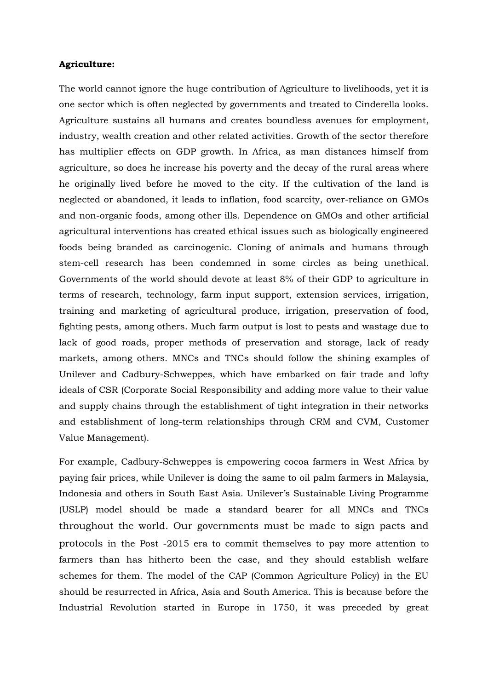### **Agriculture:**

The world cannot ignore the huge contribution of Agriculture to livelihoods, yet it is one sector which is often neglected by governments and treated to Cinderella looks. Agriculture sustains all humans and creates boundless avenues for employment, industry, wealth creation and other related activities. Growth of the sector therefore has multiplier effects on GDP growth. In Africa, as man distances himself from agriculture, so does he increase his poverty and the decay of the rural areas where he originally lived before he moved to the city. If the cultivation of the land is neglected or abandoned, it leads to inflation, food scarcity, over-reliance on GMOs and non-organic foods, among other ills. Dependence on GMOs and other artificial agricultural interventions has created ethical issues such as biologically engineered foods being branded as carcinogenic. Cloning of animals and humans through stem-cell research has been condemned in some circles as being unethical. Governments of the world should devote at least 8% of their GDP to agriculture in terms of research, technology, farm input support, extension services, irrigation, training and marketing of agricultural produce, irrigation, preservation of food, fighting pests, among others. Much farm output is lost to pests and wastage due to lack of good roads, proper methods of preservation and storage, lack of ready markets, among others. MNCs and TNCs should follow the shining examples of Unilever and Cadbury-Schweppes, which have embarked on fair trade and lofty ideals of CSR (Corporate Social Responsibility and adding more value to their value and supply chains through the establishment of tight integration in their networks and establishment of long-term relationships through CRM and CVM, Customer Value Management).

For example, Cadbury-Schweppes is empowering cocoa farmers in West Africa by paying fair prices, while Unilever is doing the same to oil palm farmers in Malaysia, Indonesia and others in South East Asia. Unilever's Sustainable Living Programme (USLP) model should be made a standard bearer for all MNCs and TNCs throughout the world. Our governments must be made to sign pacts and protocols in the Post -2015 era to commit themselves to pay more attention to farmers than has hitherto been the case, and they should establish welfare schemes for them. The model of the CAP (Common Agriculture Policy) in the EU should be resurrected in Africa, Asia and South America. This is because before the Industrial Revolution started in Europe in 1750, it was preceded by great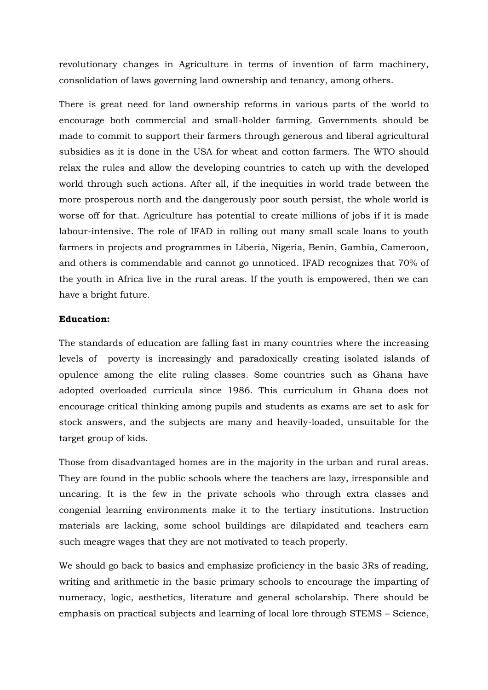revolutionary changes in Agriculture in terms of invention of farm machinery, consolidation of laws governing land ownership and tenancy, among others.

There is great need for land ownership reforms in various parts of the world to encourage both commercial and small-holder farming. Governments should be made to commit to support their farmers through generous and liberal agricultural subsidies as it is done in the USA for wheat and cotton farmers. The WTO should relax the rules and allow the developing countries to catch up with the developed world through such actions. After all, if the inequities in world trade between the more prosperous north and the dangerously poor south persist, the whole world is worse off for that. Agriculture has potential to create millions of jobs if it is made labour-intensive. The role of IFAD in rolling out many small scale loans to youth farmers in projects and programmes in Liberia, Nigeria, Benin, Gambia, Cameroon, and others is commendable and cannot go unnoticed. IFAD recognizes that 70% of the youth in Africa live in the rural areas. If the youth is empowered, then we can have a bright future.

## **Education:**

The standards of education are falling fast in many countries where the increasing levels of poverty is increasingly and paradoxically creating isolated islands of opulence among the elite ruling classes. Some countries such as Ghana have adopted overloaded curricula since 1986. This curriculum in Ghana does not encourage critical thinking among pupils and students as exams are set to ask for stock answers, and the subjects are many and heavily-loaded, unsuitable for the target group of kids.

Those from disadvantaged homes are in the majority in the urban and rural areas. They are found in the public schools where the teachers are lazy, irresponsible and uncaring. It is the few in the private schools who through extra classes and congenial learning environments make it to the tertiary institutions. Instruction materials are lacking, some school buildings are dilapidated and teachers earn such meagre wages that they are not motivated to teach properly.

We should go back to basics and emphasize proficiency in the basic 3Rs of reading, writing and arithmetic in the basic primary schools to encourage the imparting of numeracy, logic, aesthetics, literature and general scholarship. There should be emphasis on practical subjects and learning of local lore through STEMS – Science,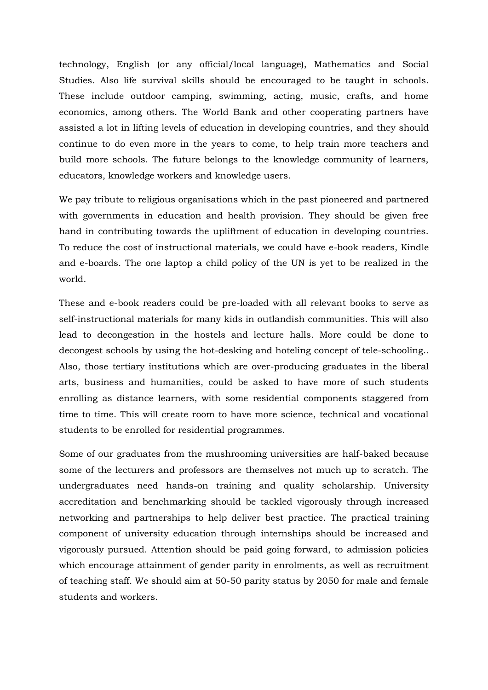technology, English (or any official/local language), Mathematics and Social Studies. Also life survival skills should be encouraged to be taught in schools. These include outdoor camping, swimming, acting, music, crafts, and home economics, among others. The World Bank and other cooperating partners have assisted a lot in lifting levels of education in developing countries, and they should continue to do even more in the years to come, to help train more teachers and build more schools. The future belongs to the knowledge community of learners, educators, knowledge workers and knowledge users.

We pay tribute to religious organisations which in the past pioneered and partnered with governments in education and health provision. They should be given free hand in contributing towards the upliftment of education in developing countries. To reduce the cost of instructional materials, we could have e-book readers, Kindle and e-boards. The one laptop a child policy of the UN is yet to be realized in the world.

These and e-book readers could be pre-loaded with all relevant books to serve as self-instructional materials for many kids in outlandish communities. This will also lead to decongestion in the hostels and lecture halls. More could be done to decongest schools by using the hot-desking and hoteling concept of tele-schooling.. Also, those tertiary institutions which are over-producing graduates in the liberal arts, business and humanities, could be asked to have more of such students enrolling as distance learners, with some residential components staggered from time to time. This will create room to have more science, technical and vocational students to be enrolled for residential programmes.

Some of our graduates from the mushrooming universities are half-baked because some of the lecturers and professors are themselves not much up to scratch. The undergraduates need hands-on training and quality scholarship. University accreditation and benchmarking should be tackled vigorously through increased networking and partnerships to help deliver best practice. The practical training component of university education through internships should be increased and vigorously pursued. Attention should be paid going forward, to admission policies which encourage attainment of gender parity in enrolments, as well as recruitment of teaching staff. We should aim at 50-50 parity status by 2050 for male and female students and workers.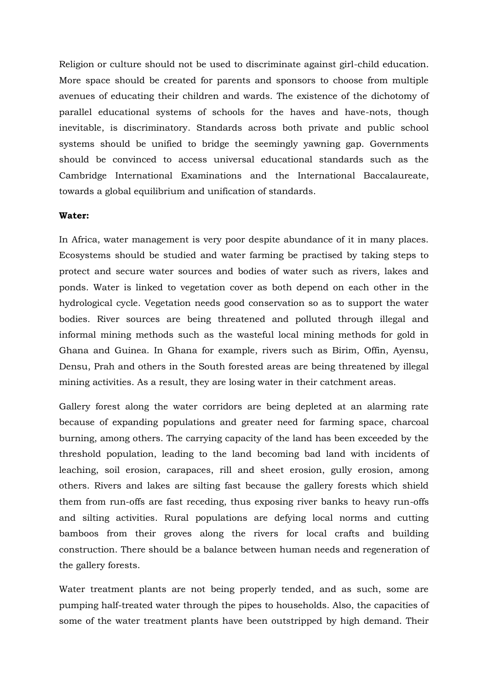Religion or culture should not be used to discriminate against girl-child education. More space should be created for parents and sponsors to choose from multiple avenues of educating their children and wards. The existence of the dichotomy of parallel educational systems of schools for the haves and have-nots, though inevitable, is discriminatory. Standards across both private and public school systems should be unified to bridge the seemingly yawning gap. Governments should be convinced to access universal educational standards such as the Cambridge International Examinations and the International Baccalaureate, towards a global equilibrium and unification of standards.

## **Water:**

In Africa, water management is very poor despite abundance of it in many places. Ecosystems should be studied and water farming be practised by taking steps to protect and secure water sources and bodies of water such as rivers, lakes and ponds. Water is linked to vegetation cover as both depend on each other in the hydrological cycle. Vegetation needs good conservation so as to support the water bodies. River sources are being threatened and polluted through illegal and informal mining methods such as the wasteful local mining methods for gold in Ghana and Guinea. In Ghana for example, rivers such as Birim, Offin, Ayensu, Densu, Prah and others in the South forested areas are being threatened by illegal mining activities. As a result, they are losing water in their catchment areas.

Gallery forest along the water corridors are being depleted at an alarming rate because of expanding populations and greater need for farming space, charcoal burning, among others. The carrying capacity of the land has been exceeded by the threshold population, leading to the land becoming bad land with incidents of leaching, soil erosion, carapaces, rill and sheet erosion, gully erosion, among others. Rivers and lakes are silting fast because the gallery forests which shield them from run-offs are fast receding, thus exposing river banks to heavy run-offs and silting activities. Rural populations are defying local norms and cutting bamboos from their groves along the rivers for local crafts and building construction. There should be a balance between human needs and regeneration of the gallery forests.

Water treatment plants are not being properly tended, and as such, some are pumping half-treated water through the pipes to households. Also, the capacities of some of the water treatment plants have been outstripped by high demand. Their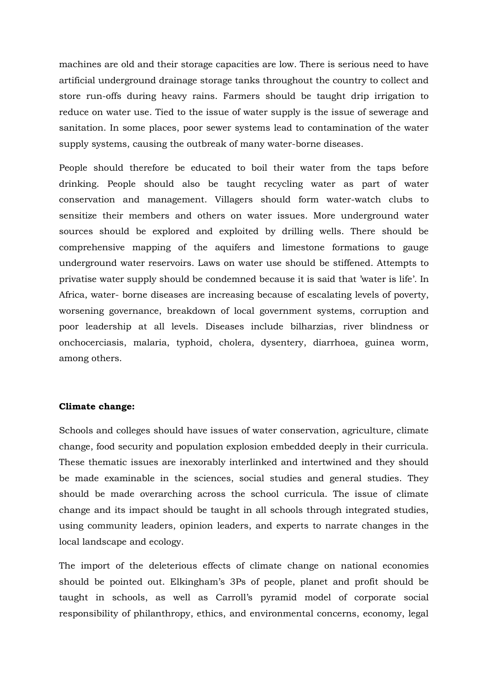machines are old and their storage capacities are low. There is serious need to have artificial underground drainage storage tanks throughout the country to collect and store run-offs during heavy rains. Farmers should be taught drip irrigation to reduce on water use. Tied to the issue of water supply is the issue of sewerage and sanitation. In some places, poor sewer systems lead to contamination of the water supply systems, causing the outbreak of many water-borne diseases.

People should therefore be educated to boil their water from the taps before drinking. People should also be taught recycling water as part of water conservation and management. Villagers should form water-watch clubs to sensitize their members and others on water issues. More underground water sources should be explored and exploited by drilling wells. There should be comprehensive mapping of the aquifers and limestone formations to gauge underground water reservoirs. Laws on water use should be stiffened. Attempts to privatise water supply should be condemned because it is said that 'water is life'. In Africa, water- borne diseases are increasing because of escalating levels of poverty, worsening governance, breakdown of local government systems, corruption and poor leadership at all levels. Diseases include bilharzias, river blindness or onchocerciasis, malaria, typhoid, cholera, dysentery, diarrhoea, guinea worm, among others.

#### **Climate change:**

Schools and colleges should have issues of water conservation, agriculture, climate change, food security and population explosion embedded deeply in their curricula. These thematic issues are inexorably interlinked and intertwined and they should be made examinable in the sciences, social studies and general studies. They should be made overarching across the school curricula. The issue of climate change and its impact should be taught in all schools through integrated studies, using community leaders, opinion leaders, and experts to narrate changes in the local landscape and ecology.

The import of the deleterious effects of climate change on national economies should be pointed out. Elkingham's 3Ps of people, planet and profit should be taught in schools, as well as Carroll's pyramid model of corporate social responsibility of philanthropy, ethics, and environmental concerns, economy, legal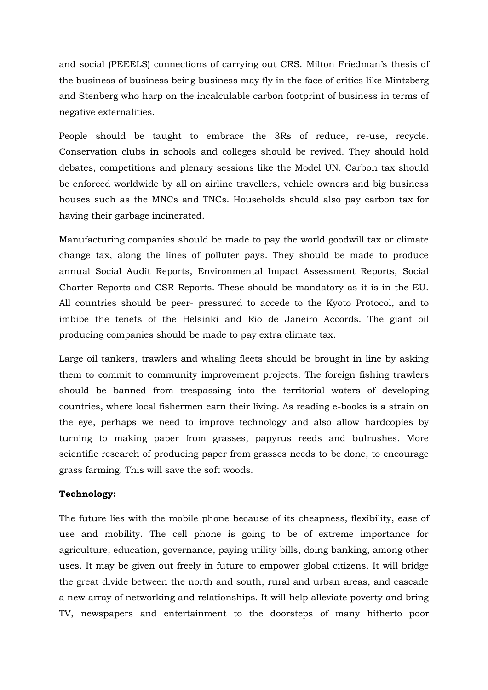and social (PEEELS) connections of carrying out CRS. Milton Friedman's thesis of the business of business being business may fly in the face of critics like Mintzberg and Stenberg who harp on the incalculable carbon footprint of business in terms of negative externalities.

People should be taught to embrace the 3Rs of reduce, re-use, recycle. Conservation clubs in schools and colleges should be revived. They should hold debates, competitions and plenary sessions like the Model UN. Carbon tax should be enforced worldwide by all on airline travellers, vehicle owners and big business houses such as the MNCs and TNCs. Households should also pay carbon tax for having their garbage incinerated.

Manufacturing companies should be made to pay the world goodwill tax or climate change tax, along the lines of polluter pays. They should be made to produce annual Social Audit Reports, Environmental Impact Assessment Reports, Social Charter Reports and CSR Reports. These should be mandatory as it is in the EU. All countries should be peer- pressured to accede to the Kyoto Protocol, and to imbibe the tenets of the Helsinki and Rio de Janeiro Accords. The giant oil producing companies should be made to pay extra climate tax.

Large oil tankers, trawlers and whaling fleets should be brought in line by asking them to commit to community improvement projects. The foreign fishing trawlers should be banned from trespassing into the territorial waters of developing countries, where local fishermen earn their living. As reading e-books is a strain on the eye, perhaps we need to improve technology and also allow hardcopies by turning to making paper from grasses, papyrus reeds and bulrushes. More scientific research of producing paper from grasses needs to be done, to encourage grass farming. This will save the soft woods.

## **Technology:**

The future lies with the mobile phone because of its cheapness, flexibility, ease of use and mobility. The cell phone is going to be of extreme importance for agriculture, education, governance, paying utility bills, doing banking, among other uses. It may be given out freely in future to empower global citizens. It will bridge the great divide between the north and south, rural and urban areas, and cascade a new array of networking and relationships. It will help alleviate poverty and bring TV, newspapers and entertainment to the doorsteps of many hitherto poor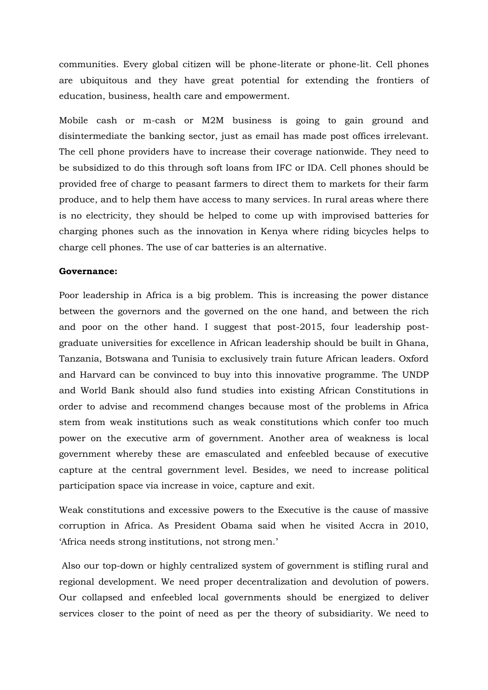communities. Every global citizen will be phone-literate or phone-lit. Cell phones are ubiquitous and they have great potential for extending the frontiers of education, business, health care and empowerment.

Mobile cash or m-cash or M2M business is going to gain ground and disintermediate the banking sector, just as email has made post offices irrelevant. The cell phone providers have to increase their coverage nationwide. They need to be subsidized to do this through soft loans from IFC or IDA. Cell phones should be provided free of charge to peasant farmers to direct them to markets for their farm produce, and to help them have access to many services. In rural areas where there is no electricity, they should be helped to come up with improvised batteries for charging phones such as the innovation in Kenya where riding bicycles helps to charge cell phones. The use of car batteries is an alternative.

### **Governance:**

Poor leadership in Africa is a big problem. This is increasing the power distance between the governors and the governed on the one hand, and between the rich and poor on the other hand. I suggest that post-2015, four leadership postgraduate universities for excellence in African leadership should be built in Ghana, Tanzania, Botswana and Tunisia to exclusively train future African leaders. Oxford and Harvard can be convinced to buy into this innovative programme. The UNDP and World Bank should also fund studies into existing African Constitutions in order to advise and recommend changes because most of the problems in Africa stem from weak institutions such as weak constitutions which confer too much power on the executive arm of government. Another area of weakness is local government whereby these are emasculated and enfeebled because of executive capture at the central government level. Besides, we need to increase political participation space via increase in voice, capture and exit.

Weak constitutions and excessive powers to the Executive is the cause of massive corruption in Africa. As President Obama said when he visited Accra in 2010, 'Africa needs strong institutions, not strong men.'

Also our top-down or highly centralized system of government is stifling rural and regional development. We need proper decentralization and devolution of powers. Our collapsed and enfeebled local governments should be energized to deliver services closer to the point of need as per the theory of subsidiarity. We need to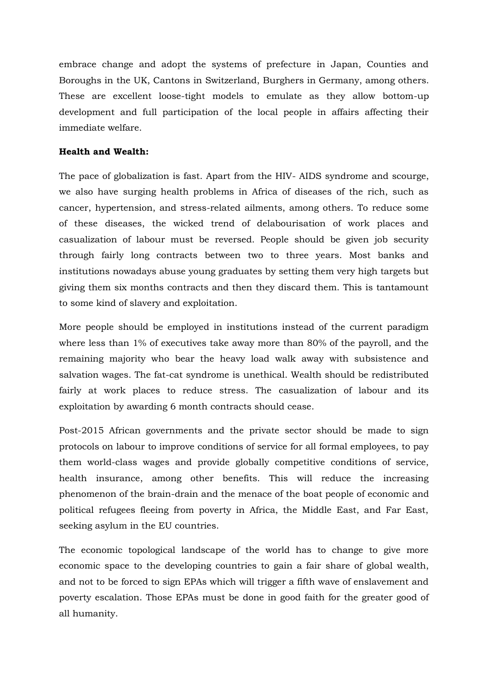embrace change and adopt the systems of prefecture in Japan, Counties and Boroughs in the UK, Cantons in Switzerland, Burghers in Germany, among others. These are excellent loose-tight models to emulate as they allow bottom-up development and full participation of the local people in affairs affecting their immediate welfare.

# **Health and Wealth:**

The pace of globalization is fast. Apart from the HIV- AIDS syndrome and scourge, we also have surging health problems in Africa of diseases of the rich, such as cancer, hypertension, and stress-related ailments, among others. To reduce some of these diseases, the wicked trend of delabourisation of work places and casualization of labour must be reversed. People should be given job security through fairly long contracts between two to three years. Most banks and institutions nowadays abuse young graduates by setting them very high targets but giving them six months contracts and then they discard them. This is tantamount to some kind of slavery and exploitation.

More people should be employed in institutions instead of the current paradigm where less than 1% of executives take away more than 80% of the payroll, and the remaining majority who bear the heavy load walk away with subsistence and salvation wages. The fat-cat syndrome is unethical. Wealth should be redistributed fairly at work places to reduce stress. The casualization of labour and its exploitation by awarding 6 month contracts should cease.

Post-2015 African governments and the private sector should be made to sign protocols on labour to improve conditions of service for all formal employees, to pay them world-class wages and provide globally competitive conditions of service, health insurance, among other benefits. This will reduce the increasing phenomenon of the brain-drain and the menace of the boat people of economic and political refugees fleeing from poverty in Africa, the Middle East, and Far East, seeking asylum in the EU countries.

The economic topological landscape of the world has to change to give more economic space to the developing countries to gain a fair share of global wealth, and not to be forced to sign EPAs which will trigger a fifth wave of enslavement and poverty escalation. Those EPAs must be done in good faith for the greater good of all humanity.